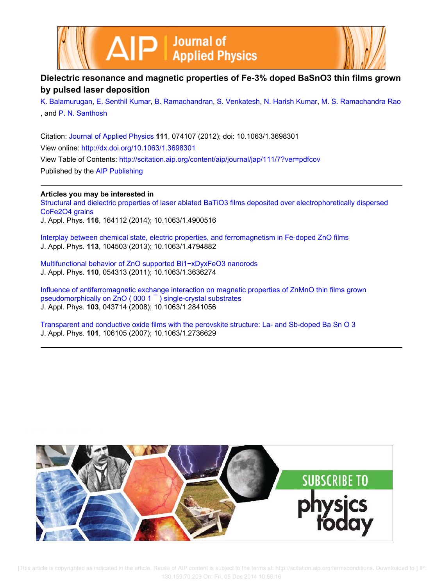



# **Dielectric resonance and magnetic properties of Fe-3% doped BaSnO3 thin films grown by pulsed laser deposition**

K. Balamurugan, E. Senthil Kumar, B. Ramachandran, S. Venkatesh, N. Harish Kumar, M. S. Ramachandra Rao , and P. N. Santhosh

Citation: Journal of Applied Physics **111**, 074107 (2012); doi: 10.1063/1.3698301 View online: http://dx.doi.org/10.1063/1.3698301 View Table of Contents: http://scitation.aip.org/content/aip/journal/jap/111/7?ver=pdfcov Published by the AIP Publishing

**Articles you may be interested in** Structural and dielectric properties of laser ablated BaTiO3 films deposited over electrophoretically dispersed CoFe2O4 grains J. Appl. Phys. **116**, 164112 (2014); 10.1063/1.4900516

Interplay between chemical state, electric properties, and ferromagnetism in Fe-doped ZnO films J. Appl. Phys. **113**, 104503 (2013); 10.1063/1.4794882

Multifunctional behavior of ZnO supported Bi1−xDyxFeO3 nanorods J. Appl. Phys. **110**, 054313 (2011); 10.1063/1.3636274

Influence of antiferromagnetic exchange interaction on magnetic properties of ZnMnO thin films grown pseudomorphically on ZnO ( 000 1 ¯ ) single-crystal substrates J. Appl. Phys. **103**, 043714 (2008); 10.1063/1.2841056

Transparent and conductive oxide films with the perovskite structure: La- and Sb-doped Ba Sn O 3 J. Appl. Phys. **101**, 106105 (2007); 10.1063/1.2736629



 [This article is copyrighted as indicated in the article. Reuse of AIP content is subject to the terms at: http://scitation.aip.org/termsconditions. Downloaded to ] IP: 130.159.70.209 On: Fri, 05 Dec 2014 10:58:16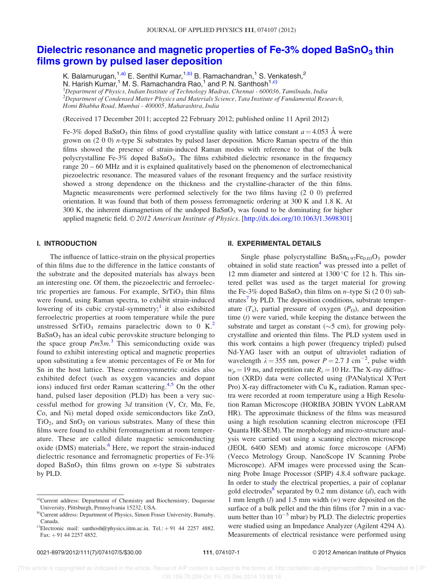## Dielectric resonance and magnetic properties of Fe-3% doped BaSnO<sub>3</sub> thin films grown by pulsed laser deposition

K. Balamurugan,<sup>1,a)</sup> E. Senthil Kumar,<sup>1,b)</sup> B. Ramachandran,<sup>1</sup> S. Venkatesh,<sup>2</sup>

N. Harish Kumar,<sup>1</sup> M. S. Ramachandra Rao,<sup>1</sup> and P. N. Santhosh<sup>1,c)</sup>

 ${}^{1}$ Department of Physics, Indian Institute of Technology Madras, Chennai - 600036, Tamilnadu, India  $^{2}$ Department of Condensed Matter Physics and Materials Science, Tata Institute of Fundamental Research, Homi Bhabha Road, Mumbai - 400005, Maharashtra, India

(Received 17 December 2011; accepted 22 February 2012; published online 11 April 2012)

Fe-3% doped BaSnO<sub>3</sub> thin films of good crystalline quality with lattice constant  $a = 4.053$  Å were grown on (2 0 0) n-type Si substrates by pulsed laser deposition. Micro Raman spectra of the thin films showed the presence of strain-induced Raman modes with reference to that of the bulk polycrystalline Fe-3% doped BaSnO<sub>3</sub>. The films exhibited dielectric resonance in the frequency range 20 – 60 MHz and it is explained qualitatively based on the phenomenon of electromechanical piezoelectric resonance. The measured values of the resonant frequency and the surface resistivity showed a strong dependence on the thickness and the crystalline-character of the thin films. Magnetic measurements were performed selectively for the two films having (2 0 0) preferred orientation. It was found that both of them possess ferromagnetic ordering at 300 K and 1.8 K. At 300 K, the inherent diamagnetism of the undoped  $BaSnO<sub>3</sub>$  was found to be dominating for higher applied magnetic field.  $\mathcal{O}2012$  American Institute of Physics. [http://dx.doi.org/10.1063/1.3698301]

## I. INTRODUCTION

The influence of lattice-strain on the physical properties of thin films due to the difference in the lattice constants of the substrate and the deposited materials has always been an interesting one. Of them, the piezoelectric and ferroelectric properties are famous. For example,  $SrTiO<sub>3</sub>$  thin films were found, using Raman spectra, to exhibit strain-induced lowering of its cubic crystal-symmetry;<sup>1</sup> it also exhibited ferroelectric properties at room temperature while the pure unstressed SrTiO<sub>3</sub> remains paraelectric down to 0 K.<sup>2</sup>  $BaSnO<sub>3</sub>$  has an ideal cubic perovskite structure belonging to the space group  $Pm\overline{3}m$ <sup>3</sup>. This semiconducting oxide was found to exhibit interesting optical and magnetic properties upon substituting a few atomic percentages of Fe or Mn for Sn in the host lattice. These centrosymmetric oxides also exhibited defect (such as oxygen vacancies and dopant ions) induced first order Raman scattering.<sup>4,5</sup> On the other hand, pulsed laser deposition (PLD) has been a very successful method for growing 3d transition (V, Cr, Mn, Fe, Co, and Ni) metal doped oxide semiconductors like ZnO,  $TiO<sub>2</sub>$ , and  $SnO<sub>2</sub>$  on various substrates. Many of these thin films were found to exhibit ferromagnetism at room temperature. These are called dilute magnetic semiconducting oxide (DMS) materials.<sup>6</sup> Here, we report the strain-induced dielectric resonance and ferromagnetic properties of Fe-3% doped  $BaSnO<sub>3</sub>$  thin films grown on *n*-type Si substrates by PLD.

#### II. EXPERIMENTAL DETAILS

Single phase polycrystalline  $BaSn<sub>0.97</sub>Fe<sub>0.03</sub>O<sub>3</sub>$  powder obtained in solid state reaction<sup>4</sup> was pressed into a pellet of 12 mm diameter and sintered at  $1300^{\circ}$ C for 12 h. This sintered pellet was used as the target material for growing the Fe-3% doped BaSnO<sub>3</sub> thin films on *n*–type Si  $(2 0 0)$  substrates<sup>7</sup> by PLD. The deposition conditions, substrate temperature  $(T_s)$ , partial pressure of oxygen  $(P_o)$ , and deposition time  $(t)$  were varied, while keeping the distance between the substrate and target as constant ( $\sim$ 5 cm), for growing polycrystalline and oriented thin films. The PLD system used in this work contains a high power (frequency tripled) pulsed Nd-YAG laser with an output of ultraviolet radiation of wavelength  $\lambda = 355$  nm, power  $P = 2.7$  J cm<sup>-2</sup>, pulse width  $w_p = 19$  ns, and repetition rate  $R_r = 10$  Hz. The X-ray diffraction (XRD) data were collected using (PANalytical X'Pert Pro) X-ray diffractometer with Cu  $K_{\alpha}$  radiation. Raman spectra were recorded at room temperature using a High Resolution Raman Microscope (HORIBA JOBIN YVON LabRAM HR). The approximate thickness of the films was measured using a high resolution scanning electron microscope (FEI Quanta HR-SEM). The morphology and micro-structure analysis were carried out using a scanning electron microscope (JEOL 6400 SEM) and atomic force microscope (AFM) (Veeco Metrology Group, NanoScope IV Scanning Probe Microscope). AFM images were processed using the Scanning Probe Image Processor (SPIP) 4.8.4 software package. In order to study the electrical properties, a pair of coplanar gold electrodes<sup>8</sup> separated by 0.2 mm distance  $(d)$ , each with 1 mm length  $(l)$  and 1.5 mm width  $(w)$  were deposited on the surface of a bulk pellet and the thin films (for 7 min in a vacuum better than  $10^{-5}$  mbar) by PLD. The dielectric properties were studied using an Impedance Analyzer (Agilent 4294 A). Measurements of electrical resistance were performed using

a)Current address: Department of Chemistry and Biochemistry, Duquesne University, Pittsburgh, Pennsylvania 15232, USA.

b)Current address: Department of Physics, Simon Fraser University, Burnaby, Canada.

<sup>&</sup>lt;sup>c)</sup>Electronic mail: santhosh@physics.iitm.ac.in. Tel.: +91 44 2257 4882.  $Fax: +914422574852.$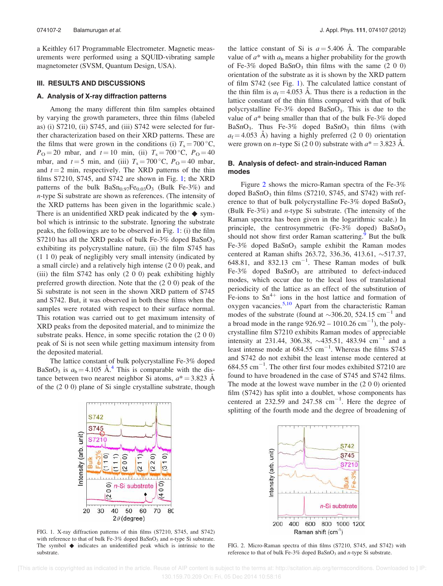a Keithley 617 Programmable Electrometer. Magnetic measurements were performed using a SQUID-vibrating sample magnetometer (SVSM, Quantum Design, USA).

#### III. RESULTS AND DISCUSSIONS

### A. Analysis of X-ray diffraction patterns

Among the many different thin film samples obtained by varying the growth parameters, three thin films (labeled as) (i) S7210, (ii) S745, and (iii) S742 were selected for further characterization based on their XRD patterns. These are the films that were grown in the conditions (i)  $T_s = 700 \degree C$ ,  $P_{\rm O} = 20$  mbar, and  $t = 10$  min, (ii)  $T_s = 700$  °C,  $P_{\rm O} = 40$ mbar, and  $t = 5$  min, and (iii)  $T_s = 700 \degree \text{C}$ ,  $P_O = 40$  mbar, and  $t = 2$  min, respectively. The XRD patterns of the thin films S7210, S745, and S742 are shown in Fig. 1; the XRD patterns of the bulk  $BaSn_{0.97}Fe_{0.03}O_3$  (Bulk Fe-3%) and n-type Si substrate are shown as references. (The intensity of the XRD patterns has been given in the logarithmic scale.) There is an unidentified XRD peak indicated by the  $\blacklozenge$  symbol which is intrinsic to the substrate. Ignoring the substrate peaks, the followings are to be observed in Fig. 1: (i) the film S7210 has all the XRD peaks of bulk Fe-3% doped  $BaSnO<sub>3</sub>$ exhibiting its polycrystalline nature, (ii) the film S745 has (1 1 0) peak of negligibly very small intensity (indicated by a small circle) and a relatively high intense (2 0 0) peak, and (iii) the film S742 has only (2 0 0) peak exhibiting highly preferred growth direction. Note that the (2 0 0) peak of the Si substrate is not seen in the shown XRD pattern of S745 and S742. But, it was observed in both these films when the samples were rotated with respect to their surface normal. This rotation was carried out to get maximum intensity of XRD peaks from the deposited material, and to minimize the substrate peaks. Hence, in some specific rotation the (2 0 0) peak of Si is not seen while getting maximum intensity from the deposited material.

The lattice constant of bulk polycrystalline Fe-3% doped BaSnO<sub>3</sub> is  $a<sub>b</sub> = 4.105$  Å.<sup>4</sup> This is comparable with the distance between two nearest neighbor Si atoms,  $a^* = 3.823$  Å of the (2 0 0) plane of Si single crystalline substrate, though

the lattice constant of Si is  $a = 5.406$  Å. The comparable value of  $a^*$  with  $a<sub>b</sub>$  means a higher probability for the growth of Fe-3% doped BaSnO<sub>3</sub> thin films with the same  $(2\ 0\ 0)$ orientation of the substrate as it is shown by the XRD pattern of film S742 (see Fig. 1). The calculated lattice constant of the thin film is  $a_f = 4.053$  Å. Thus there is a reduction in the lattice constant of the thin films compared with that of bulk polycrystalline Fe-3% doped  $BaSnO<sub>3</sub>$ . This is due to the value of  $a^*$  being smaller than that of the bulk Fe-3% doped BaSnO<sub>3</sub>. Thus Fe-3% doped BaSnO<sub>3</sub> thin films (with  $a_f = 4.053$  Å) having a highly preferred (2 0 0) orientation were grown on *n*-type Si (2 0 0) substrate with  $a^* = 3.823$  Å.

## B. Analysis of defect- and strain-induced Raman modes

Figure 2 shows the micro-Raman spectra of the Fe-3% doped  $BaSnO<sub>3</sub>$  thin films (S7210, S745, and S742) with reference to that of bulk polycrystalline Fe-3% doped  $BaSnO<sub>3</sub>$ (Bulk Fe-3%) and n-type Si substrate. (The intensity of the Raman spectra has been given in the logarithmic scale.) In principle, the centrosymmetric (Fe-3% doped)  $BaSnO<sub>3</sub>$ should not show first order Raman scattering.<sup>9</sup> But the bulk Fe-3% doped  $BaSnO<sub>3</sub>$  sample exhibit the Raman modes centered at Raman shifts 263.72, 336.36, 413.61,  $\sim$ 517.37, 648.81, and 832.13  $cm^{-1}$ . These Raman modes of bulk Fe-3% doped  $BaSnO<sub>3</sub>$  are attributed to defect-induced modes, which occur due to the local loss of translational periodicity of the lattice as an effect of the substitution of Fe-ions to  $\text{Sn}^{4+}$  ions in the host lattice and formation of oxygen vacancies. $5,10$  Apart from the characteristic Raman modes of the substrate (found at  $\sim$ 306.20, 524.15 cm<sup>-1</sup> and a broad mode in the range  $926.92 - 1010.26$  cm<sup>-1</sup>), the polycrystalline film S7210 exhibits Raman modes of appreciable intensity at 231.44, 306.38,  $\sim$ 435.51, 483.94 cm<sup>-1</sup> and a least intense mode at  $684.55$  cm<sup>-1</sup>. Whereas the films S745 and S742 do not exhibit the least intense mode centered at  $684.55$  cm<sup>-1</sup>. The other first four modes exhibited S7210 are found to have broadened in the case of S745 and S742 films. The mode at the lowest wave number in the (2 0 0) oriented film (S742) has split into a doublet, whose components has centered at  $232.59$  and  $247.58$  cm<sup>-1</sup>. Here the degree of splitting of the fourth mode and the degree of broadening of



FIG. 1. X-ray diffraction patterns of thin films (S7210, S745, and S742) with reference to that of bulk Fe-3% doped  $BaSnO<sub>3</sub>$  and *n*-type Si substrate. The symbol  $\blacklozenge$  indicates an unidentified peak which is intrinsic to the substrate.



FIG. 2. Micro-Raman spectra of thin films (S7210, S745, and S742) with reference to that of bulk Fe-3% doped  $BaSnO<sub>3</sub>$  and n-type Si substrate.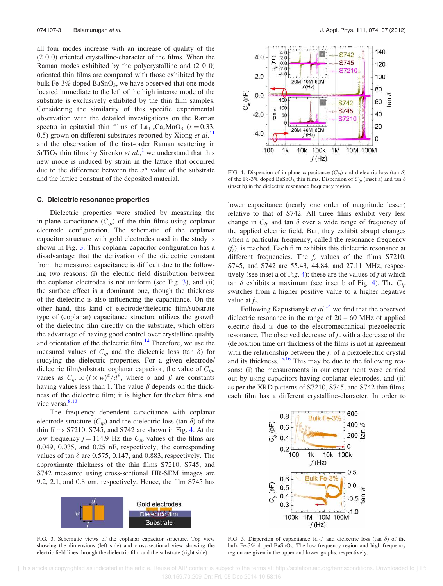all four modes increase with an increase of quality of the (2 0 0) oriented crystalline-character of the films. When the Raman modes exhibited by the polycrystalline and (2 0 0) oriented thin films are compared with those exhibited by the bulk Fe-3% doped BaSnO<sub>3</sub>, we have observed that one mode located immediate to the left of the high intense mode of the substrate is exclusively exhibited by the thin film samples. Considering the similarity of this specific experimental observation with the detailed investigations on the Raman spectra in epitaxial thin films of  $La_{1-x}Ca_xMnO_3$  ( $x = 0.33$ , 0.5) grown on different substrates reported by Xiong et  $al$ .<sup>11</sup> and the observation of the first-order Raman scattering in  $SrTiO<sub>3</sub>$  thin films by Sirenko *et al.*,<sup>1</sup> we understand that this new mode is induced by strain in the lattice that occurred due to the difference between the  $a^*$  value of the substrate and the lattice constant of the deposited material.

#### C. Dielectric resonance properties

Dielectric properties were studied by measuring the in-plane capacitance  $(C_{ip})$  of the thin films using coplanar electrode configuration. The schematic of the coplanar capacitor structure with gold electrodes used in the study is shown in Fig. 3. This coplanar capacitor configuration has a disadvantage that the derivation of the dielectric constant from the measured capacitance is difficult due to the following two reasons: (i) the electric field distribution between the coplanar electrodes is not uniform (see Fig. 3), and (ii) the surface effect is a dominant one, though the thickness of the dielectric is also influencing the capacitance. On the other hand, this kind of electrode/dielectric film/substrate type of (coplanar) capacitance structure utilizes the growth of the dielectric film directly on the substrate, which offers the advantage of having good control over crystalline quality and orientation of the dielectric film.<sup>12</sup> Therefore, we use the measured values of  $C_{ip}$  and the dielectric loss (tan  $\delta$ ) for studying the dielectric properties. For a given electrode/ dielectric film/substrate coplanar capacitor, the value of  $C_{ip}$ . varies as  $C_{ip} \propto (l \times w)^{\alpha}/d^{\beta}$ , where  $\alpha$  and  $\beta$  are constants having values less than 1. The value  $\beta$  depends on the thickness of the dielectric film; it is higher for thicker films and vice versa.<sup>8,13</sup>

The frequency dependent capacitance with coplanar electrode structure  $(C_{in})$  and the dielectric loss (tan  $\delta$ ) of the thin films S7210, S745, and S742 are shown in Fig. 4. At the low frequency  $f = 114.9$  Hz the  $C_{ip}$  values of the films are 0.049, 0.035, and 0.25 nF, respectively; the corresponding values of tan  $\delta$  are 0.575, 0.147, and 0.883, respectively. The approximate thickness of the thin films S7210, S745, and S742 measured using cross-sectional HR-SEM images are 9.2, 2.1, and 0.8  $\mu$ m, respectively. Hence, the film S745 has





FIG. 4. Dispersion of in-plane capacitance  $(C_{ip})$  and dielectric loss (tan  $\delta$ ) of the Fe-3% doped BaSnO<sub>3</sub> thin films. Dispersion of  $C_{ip}$  (inset a) and tan  $\delta$ (inset b) in the dielectric resonance frequency region.

lower capacitance (nearly one order of magnitude lesser) relative to that of S742. All three films exhibit very less change in  $C_{ip}$  and tan  $\delta$  over a wide range of frequency of the applied electric field. But, they exhibit abrupt changes when a particular frequency, called the resonance frequency  $(f_r)$ , is reached. Each film exhibits this dielectric resonance at different frequencies. The  $f_r$  values of the films S7210, S745, and S742 are 55.43, 44.84, and 27.11 MHz, respectively (see inset a of Fig. 4); these are the values of  $f$  at which tan  $\delta$  exhibits a maximum (see inset b of Fig. 4). The  $C_{ip}$ switches from a higher positive value to a higher negative value at  $f_r$ .

Following Kapustianyk et  $al$ <sup>14</sup> we find that the observed dielectric resonance in the range of  $20 - 60$  MHz of applied electric field is due to the electromechanical piezoelectric resonance. The observed decrease of  $f_r$  with a decrease of the (deposition time or) thickness of the films is not in agreement with the relationship between the  $f_r$  of a piezoelectric crystal and its thickness.<sup>15,16</sup> This may be due to the following reasons: (i) the measurements in our experiment were carried out by using capacitors having coplanar electrodes, and (ii) as per the XRD patterns of S7210, S745, and S742 thin films, each film has a different crystalline-character. In order to



FIG. 5. Dispersion of capacitance  $(C_{ip})$  and dielectric loss (tan  $\delta$ ) of the bulk Fe-3% doped BaSnO<sub>3</sub>. The low frequency region and high frequency region are given in the upper and lower graphs, respectively.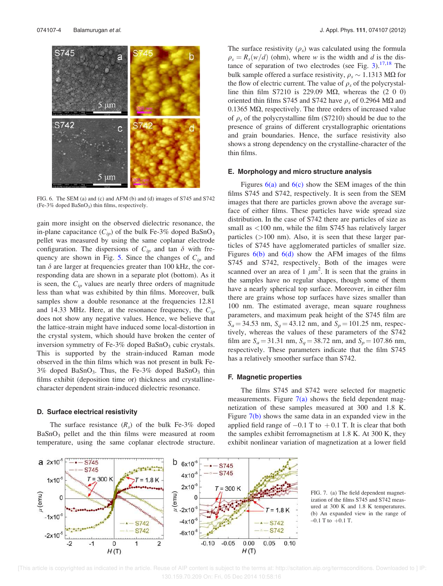

FIG. 6. The SEM (a) and (c) and AFM (b) and (d) images of S745 and S742 (Fe-3% doped BaSnO<sup>3</sup> ) thin films, respectively.

gain more insight on the observed dielectric resonance, the in-plane capacitance  $(C_{in})$  of the bulk Fe-3% doped BaSnO<sub>3</sub> pellet was measured by using the same coplanar electrode configuration. The dispersions of  $C_{ip}$  and tan  $\delta$  with frequency are shown in Fig. 5. Since the changes of  $C_{ip}$  and tan  $\delta$  are larger at frequencies greater than 100 kHz, the corresponding data are shown in a separate plot (bottom). As it is seen, the  $C_{ip}$  values are nearly three orders of magnitude less than what was exhibited by thin films. Moreover, bulk samples show a double resonance at the frequencies  $12.81$ and 14.33 MHz. Here, at the resonance frequency, the  $C_{ip}$ does not show any negative values. Hence, we believe that the lattice-strain might have induced some local-distortion in the crystal system, which should have broken the center of inversion symmetry of Fe-3% doped  $BaSnO<sub>3</sub>$  cubic crystals. This is supported by the strain-induced Raman mode observed in the thin films which was not present in bulk Fe- $3\%$  doped BaSnO<sub>3</sub>. Thus, the Fe-3% doped BaSnO<sub>3</sub> thin films exhibit (deposition time or) thickness and crystallinecharacter dependent strain-induced dielectric resonance.

#### D. Surface electrical resistivity

The surface resistance  $(R<sub>s</sub>)$  of the bulk Fe-3% doped  $BaSnO<sub>3</sub>$  pellet and the thin films were measured at room temperature, using the same coplanar electrode structure.

The surface resistivity  $(\rho_s)$  was calculated using the formula  $\rho_s = R_s(w/d)$  (ohm), where w is the width and d is the distance of separation of two electrodes (see Fig.  $3$ ).<sup>17,18</sup> The bulk sample offered a surface resistivity,  $\rho_s \sim 1.1313 \text{ M}\Omega$  for the flow of electric current. The value of  $\rho_s$  of the polycrystalline thin film S7210 is 229.09 M $\Omega$ , whereas the (2 0 0) oriented thin films S745 and S742 have  $\rho_s$  of 0.2964 M $\Omega$  and 0.1365  $\text{M}\Omega$ , respectively. The three orders of increased value of  $\rho_s$  of the polycrystalline film (S7210) should be due to the presence of grains of different crystallographic orientations and grain boundaries. Hence, the surface resistivity also shows a strong dependency on the crystalline-character of the thin films.

#### E. Morphology and micro structure analysis

Figures  $6(a)$  and  $6(c)$  show the SEM images of the thin films S745 and S742, respectively. It is seen from the SEM images that there are particles grown above the average surface of either films. These particles have wide spread size distribution. In the case of S742 there are particles of size as small as  $\langle 100 \text{ nm} \rangle$ , while the film S745 has relatively larger particles  $(>100 \text{ nm})$ . Also, it is seen that these larger particles of S745 have agglomerated particles of smaller size. Figures  $6(b)$  and  $6(d)$  show the AFM images of the films S745 and S742, respectively. Both of the images were scanned over an area of 1  $\mu$ m<sup>2</sup>. It is seen that the grains in the samples have no regular shapes, though some of them have a nearly spherical top surface. Moreover, in either film there are grains whose top surfaces have sizes smaller than 100 nm. The estimated average, mean square roughness parameters, and maximum peak height of the S745 film are  $S_a = 34.53$  nm,  $S_a = 43.12$  nm, and  $S_p = 101.25$  nm, respectively, whereas the values of these parameters of the S742 film are  $S_a = 31.31$  nm,  $S_a = 38.72$  nm, and  $S_p = 107.86$  nm, respectively. These parameters indicate that the film S745 has a relatively smoother surface than S742.

#### F. Magnetic properties

The films S745 and S742 were selected for magnetic measurements. Figure  $7(a)$  shows the field dependent magnetization of these samples measured at 300 and 1.8 K. Figure 7(b) shows the same data in an expanded view in the applied field range of  $-0.1$  T to  $+0.1$  T. It is clear that both the samples exhibit ferromagnetism at 1.8 K. At 300 K, they exhibit nonlinear variation of magnetization at a lower field



FIG. 7. (a) The field dependent magnetization of the films S745 and S742 measured at 300 K and 1.8 K temperatures. (b) An expanded view in the range of  $-0.1$  T to  $+0.1$  T.

 <sup>[</sup>This article is copyrighted as indicated in the article. Reuse of AIP content is subject to the terms at: http://scitation.aip.org/termsconditions. Downloaded to ] IP: 130.159.70.209 On: Fri, 05 Dec 2014 10:58:16